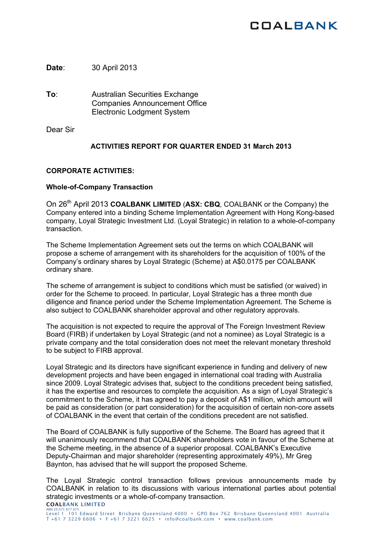# **COALBANK**

**Date**: 30 April 2013

**To**: Australian Securities Exchange Companies Announcement Office Electronic Lodgment System

Dear Sir

## **ACTIVITIES REPORT FOR QUARTER ENDED 31 March 2013**

## **CORPORATE ACTIVITIES:**

### **Whole-of-Company Transaction**

On 26th April 2013 **COALBANK LIMITED** (**ASX: CBQ**, COALBANK or the Company) the Company entered into a binding Scheme Implementation Agreement with Hong Kong-based company, Loyal Strategic Investment Ltd. (Loyal Strategic) in relation to a whole-of-company transaction.

The Scheme Implementation Agreement sets out the terms on which COALBANK will propose a scheme of arrangement with its shareholders for the acquisition of 100% of the Company's ordinary shares by Loyal Strategic (Scheme) at A\$0.0175 per COALBANK ordinary share.

The scheme of arrangement is subject to conditions which must be satisfied (or waived) in order for the Scheme to proceed. In particular, Loyal Strategic has a three month due diligence and finance period under the Scheme Implementation Agreement. The Scheme is also subject to COALBANK shareholder approval and other regulatory approvals.

The acquisition is not expected to require the approval of The Foreign Investment Review Board (FIRB) if undertaken by Loyal Strategic (and not a nominee) as Loyal Strategic is a private company and the total consideration does not meet the relevant monetary threshold to be subject to FIRB approval.

Loyal Strategic and its directors have significant experience in funding and delivery of new development projects and have been engaged in international coal trading with Australia since 2009. Loyal Strategic advises that, subject to the conditions precedent being satisfied. it has the expertise and resources to complete the acquisition. As a sign of Loyal Strategic's commitment to the Scheme, it has agreed to pay a deposit of A\$1 million, which amount will be paid as consideration (or part consideration) for the acquisition of certain non-core assets of COALBANK in the event that certain of the conditions precedent are not satisfied.

The Board of COALBANK is fully supportive of the Scheme. The Board has agreed that it will unanimously recommend that COALBANK shareholders vote in favour of the Scheme at the Scheme meeting, in the absence of a superior proposal. COALBANK's Executive Deputy-Chairman and major shareholder (representing approximately 49%), Mr Greg Baynton, has advised that he will support the proposed Scheme.

COALBANK LIMITED The Loyal Strategic control transaction follows previous announcements made by COALBANK in relation to its discussions with various international parties about potential strategic investments or a whole-of-company transaction.